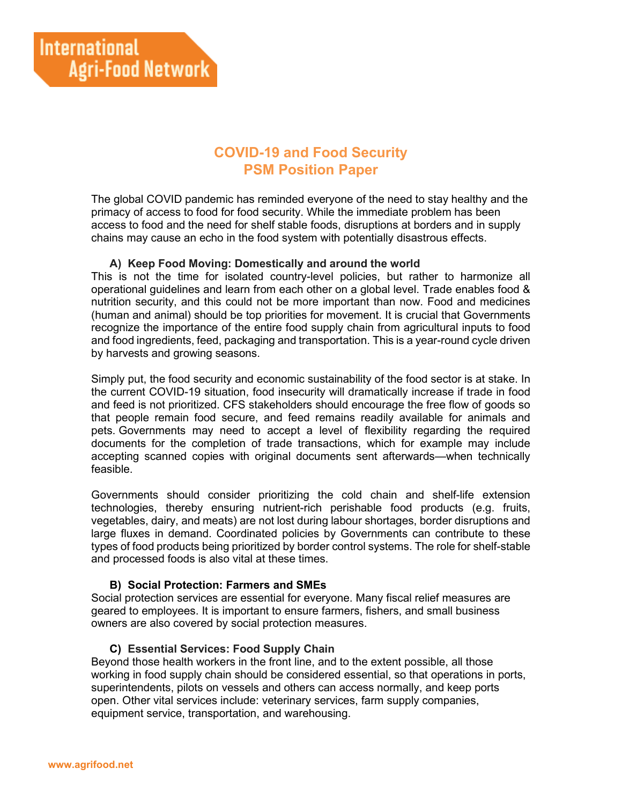# **COVID-19 and Food Security PSM Position Paper**

The global COVID pandemic has reminded everyone of the need to stay healthy and the primacy of access to food for food security. While the immediate problem has been access to food and the need for shelf stable foods, disruptions at borders and in supply chains may cause an echo in the food system with potentially disastrous effects.

### **A) Keep Food Moving: Domestically and around the world**

This is not the time for isolated country-level policies, but rather to harmonize all operational guidelines and learn from each other on a global level. Trade enables food & nutrition security, and this could not be more important than now. Food and medicines (human and animal) should be top priorities for movement. It is crucial that Governments recognize the importance of the entire food supply chain from agricultural inputs to food and food ingredients, feed, packaging and transportation. This is a year-round cycle driven by harvests and growing seasons.

Simply put, the food security and economic sustainability of the food sector is at stake. In the current COVID-19 situation, food insecurity will dramatically increase if trade in food and feed is not prioritized. CFS stakeholders should encourage the free flow of goods so that people remain food secure, and feed remains readily available for animals and pets. Governments may need to accept a level of flexibility regarding the required documents for the completion of trade transactions, which for example may include accepting scanned copies with original documents sent afterwards—when technically feasible.

Governments should consider prioritizing the cold chain and shelf-life extension technologies, thereby ensuring nutrient-rich perishable food products (e.g. fruits, vegetables, dairy, and meats) are not lost during labour shortages, border disruptions and large fluxes in demand. Coordinated policies by Governments can contribute to these types of food products being prioritized by border control systems. The role for shelf-stable and processed foods is also vital at these times.

### **B) Social Protection: Farmers and SMEs**

Social protection services are essential for everyone. Many fiscal relief measures are geared to employees. It is important to ensure farmers, fishers, and small business owners are also covered by social protection measures.

## **C) Essential Services: Food Supply Chain**

Beyond those health workers in the front line, and to the extent possible, all those working in food supply chain should be considered essential, so that operations in ports, superintendents, pilots on vessels and others can access normally, and keep ports open. Other vital services include: veterinary services, farm supply companies, equipment service, transportation, and warehousing.